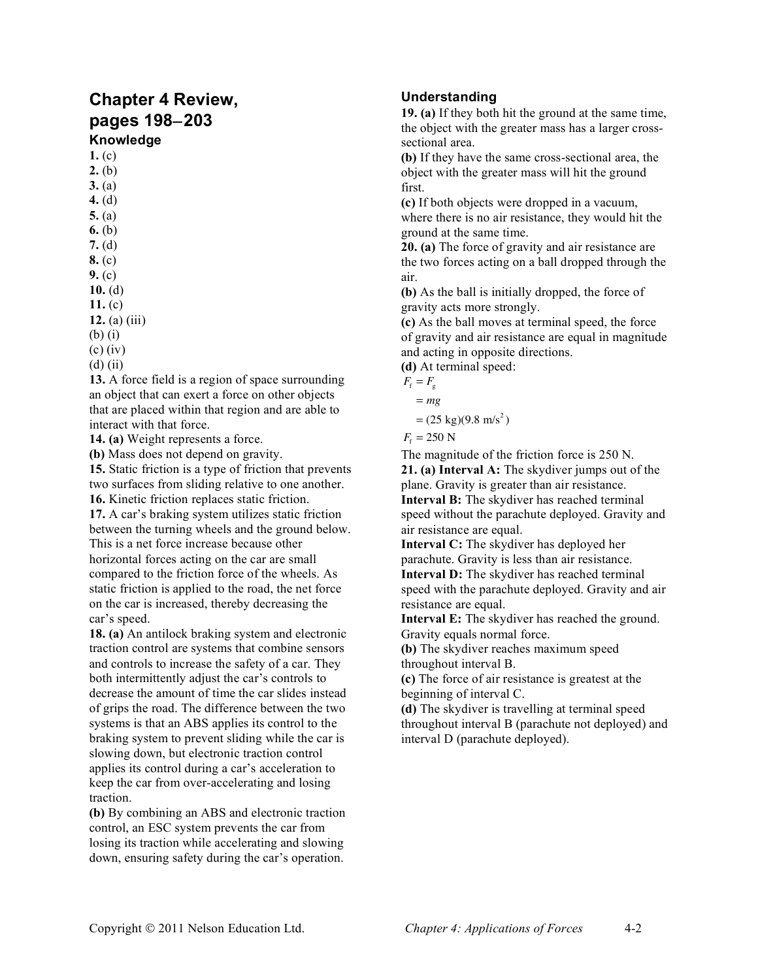# **Chapter 4 Review, pages 198**−**203**

## **Knowledge**

**1.** (c) **2.** (b)

- **3.** (a)
- **4.** (d)
- **5.** (a)
- **6.** (b) **7.** (d)
- **8.** (c)
- **9.** (c)
- **10.** (d)
- **11.** (c)
- **12.** (a) (iii)
- (b) (i)
- (c) (iv)
- (d) (ii)

**13.** A force field is a region of space surrounding an object that can exert a force on other objects that are placed within that region and are able to interact with that force.

**14. (a)** Weight represents a force.

**(b)** Mass does not depend on gravity.

**15.** Static friction is a type of friction that prevents two surfaces from sliding relative to one another.

**16.** Kinetic friction replaces static friction.

**17.** A car's braking system utilizes static friction between the turning wheels and the ground below. This is a net force increase because other horizontal forces acting on the car are small compared to the friction force of the wheels. As static friction is applied to the road, the net force on the car is increased, thereby decreasing the car's speed.

**18. (a)** An antilock braking system and electronic traction control are systems that combine sensors and controls to increase the safety of a car. They both intermittently adjust the car's controls to decrease the amount of time the car slides instead of grips the road. The difference between the two systems is that an ABS applies its control to the braking system to prevent sliding while the car is slowing down, but electronic traction control applies its control during a car's acceleration to keep the car from over-accelerating and losing traction.

**(b)** By combining an ABS and electronic traction control, an ESC system prevents the car from losing its traction while accelerating and slowing down, ensuring safety during the car's operation.

### **Understanding**

**19. (a)** If they both hit the ground at the same time, the object with the greater mass has a larger crosssectional area.

**(b)** If they have the same cross-sectional area, the object with the greater mass will hit the ground first.

**(c)** If both objects were dropped in a vacuum, where there is no air resistance, they would hit the ground at the same time.

**20. (a)** The force of gravity and air resistance are the two forces acting on a ball dropped through the air.

**(b)** As the ball is initially dropped, the force of gravity acts more strongly.

**(c)** As the ball moves at terminal speed, the force of gravity and air resistance are equal in magnitude and acting in opposite directions.

**(d)** At terminal speed:

- $F_{\rm f} = F_{\rm g}$ 
	- = *mg*

 $=(25 \text{ kg})(9.8 \text{ m/s}^2)$ 

```
F_t = 250 N
```
The magnitude of the friction force is 250 N. **21. (a) Interval A:** The skydiver jumps out of the plane. Gravity is greater than air resistance. **Interval B:** The skydiver has reached terminal speed without the parachute deployed. Gravity and air resistance are equal.

**Interval C:** The skydiver has deployed her parachute. Gravity is less than air resistance. **Interval D:** The skydiver has reached terminal speed with the parachute deployed. Gravity and air resistance are equal.

**Interval E:** The skydiver has reached the ground. Gravity equals normal force.

**(b)** The skydiver reaches maximum speed throughout interval B.

**(c)** The force of air resistance is greatest at the beginning of interval C.

**(d)** The skydiver is travelling at terminal speed throughout interval B (parachute not deployed) and interval D (parachute deployed).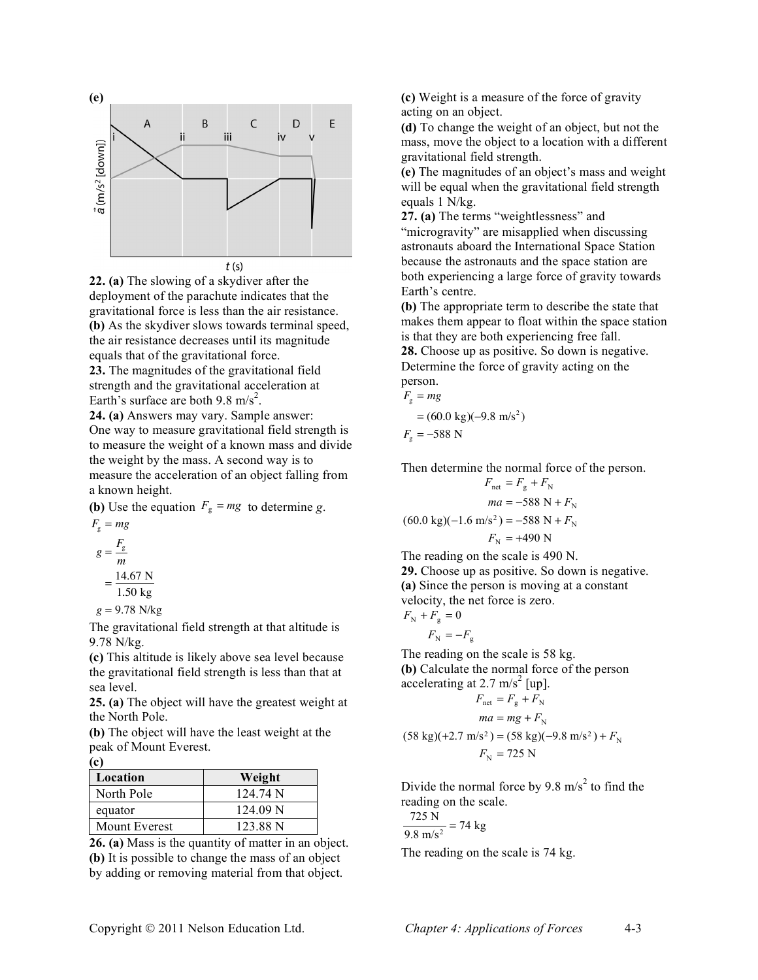

**22. (a)** The slowing of a skydiver after the deployment of the parachute indicates that the gravitational force is less than the air resistance. **(b)** As the skydiver slows towards terminal speed, the air resistance decreases until its magnitude equals that of the gravitational force.

**23.** The magnitudes of the gravitational field strength and the gravitational acceleration at Earth's surface are both  $9.8 \text{ m/s}^2$ .

**24. (a)** Answers may vary. Sample answer: One way to measure gravitational field strength is to measure the weight of a known mass and divide the weight by the mass. A second way is to measure the acceleration of an object falling from a known height.

**(b)** Use the equation  $F_g = mg$  to determine *g*.  $F_{\rm g}$  = *mg* 

$$
g = \frac{F_{\rm g}}{m}
$$

$$
= \frac{14.67 \text{ N}}{1.50 \text{ kg}}
$$

$$
g = 9.78 \text{ N/kg}
$$

The gravitational field strength at that altitude is 9.78 N/kg.

**(c)** This altitude is likely above sea level because the gravitational field strength is less than that at sea level.

**25. (a)** The object will have the greatest weight at the North Pole.

**(b)** The object will have the least weight at the peak of Mount Everest.

#### **(c)**

| Location      | Weight   |
|---------------|----------|
| North Pole    | 124.74 N |
| equator       | 124.09 N |
| Mount Everest | 123.88 N |

**26. (a)** Mass is the quantity of matter in an object. **(b)** It is possible to change the mass of an object by adding or removing material from that object.

**(c)** Weight is a measure of the force of gravity acting on an object.

**(d)** To change the weight of an object, but not the mass, move the object to a location with a different gravitational field strength.

**(e)** The magnitudes of an object's mass and weight will be equal when the gravitational field strength equals 1 N/kg.

**27. (a)** The terms "weightlessness" and "microgravity" are misapplied when discussing astronauts aboard the International Space Station because the astronauts and the space station are both experiencing a large force of gravity towards Earth's centre.

**(b)** The appropriate term to describe the state that makes them appear to float within the space station is that they are both experiencing free fall.

**28.** Choose up as positive. So down is negative. Determine the force of gravity acting on the person.

$$
F_{\rm g}=mg
$$

$$
= (60.0 \text{ kg})(-9.8 \text{ m/s}^2)
$$

$$
F_{\rm g} = -588
$$
 N

Then determine the normal force of the person.

$$
F_{\text{net}} = F_{\text{g}} + F_{\text{N}}
$$

$$
ma = -588 \text{ N} + F_{\text{N}}
$$

$$
(60.0 \text{ kg})(-1.6 \text{ m/s}^2) = -588 \text{ N} + F_{\text{N}}
$$

$$
F_{\text{N}} = +490 \text{ N}
$$

The reading on the scale is 490 N.

**29.** Choose up as positive. So down is negative. **(a)** Since the person is moving at a constant velocity, the net force is zero.  $F_{\rm N} + F_{\rm g} = 0$ 

$$
F_{\rm N} = -F_{\rm g}
$$

The reading on the scale is 58 kg. **(b)** Calculate the normal force of the person accelerating at 2.7 m/s<sup>2</sup> [up].

$$
F_{\text{net}} = F_{\text{g}} + F_{\text{N}}
$$
  
\n
$$
ma = mg + F_{\text{N}}
$$
  
\n(58 kg)(+2.7 m/s<sup>2</sup>) = (58 kg)(-9.8 m/s<sup>2</sup>) + F\_{\text{N}}  
\n
$$
F_{\text{N}} = 725 \text{ N}
$$

Divide the normal force by 9.8 m/s<sup>2</sup> to find the reading on the scale.

$$
\frac{725 \text{ N}}{9.8 \text{ m/s}^2} = 74 \text{ kg}
$$

The reading on the scale is 74 kg.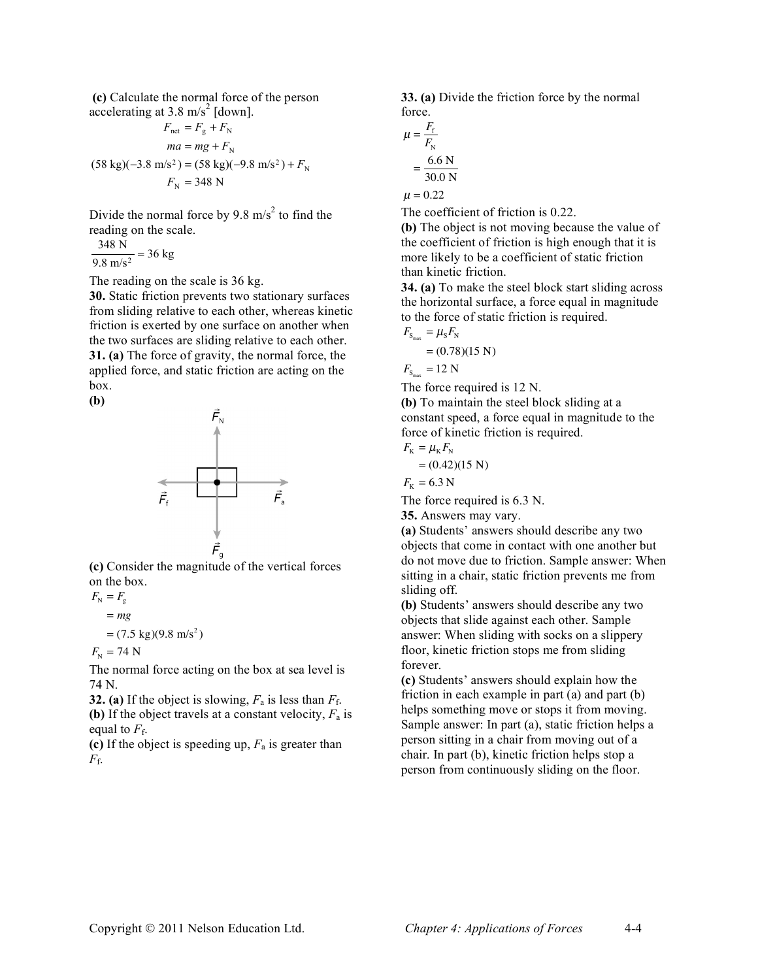**(c)** Calculate the normal force of the person accelerating at 3.8 m/s<sup>2</sup> [down].

$$
F_{\text{net}} = F_{\text{g}} + F_{\text{N}}
$$
  

$$
ma = mg + F_{\text{N}}
$$
  

$$
(58 \text{ kg})(-3.8 \text{ m/s}^2) = (58 \text{ kg})(-9.8 \text{ m/s}^2) + F_{\text{N}}
$$
  

$$
F_{\text{N}} = 348 \text{ N}
$$

Divide the normal force by 9.8 m/s<sup>2</sup> to find the reading on the scale.

$$
\frac{348 \text{ N}}{9.8 \text{ m/s}^2} = 36 \text{ kg}
$$

The reading on the scale is 36 kg.

**30.** Static friction prevents two stationary surfaces from sliding relative to each other, whereas kinetic friction is exerted by one surface on another when the two surfaces are sliding relative to each other. **31. (a)** The force of gravity, the normal force, the applied force, and static friction are acting on the box.

**(b)**



**(c)** Consider the magnitude of the vertical forces on the box.

$$
F_{\rm N} = F_{\rm g}
$$
  
= mg  
= (7.5 kg)(9.8 m/s<sup>2</sup>)  

$$
F_{\rm N} = 74 \text{ N}
$$

The normal force acting on the box at sea level is 74 N.

**32.** (a) If the object is slowing,  $F_a$  is less than  $F_f$ . **(b)** If the object travels at a constant velocity, *F*<sup>a</sup> is equal to  $F_f$ .

**(c)** If the object is speeding up, *F*<sup>a</sup> is greater than *F*f.

**33. (a)** Divide the friction force by the normal force.

$$
\mu = \frac{F_{\rm f}}{F_{\rm N}}
$$

$$
= \frac{6.6 \text{ N}}{30.0 \text{ N}}
$$

$$
\mu = 0.22
$$

The coefficient of friction is 0.22.

**(b)** The object is not moving because the value of the coefficient of friction is high enough that it is more likely to be a coefficient of static friction than kinetic friction.

**34. (a)** To make the steel block start sliding across the horizontal surface, a force equal in magnitude to the force of static friction is required.

$$
F_{S_{\text{max}}} = \mu_{\text{s}} F_{\text{N}}
$$
  
= (0.78)(15 N)

$$
F_{\rm S_{max}} = 12 \text{ N}
$$

The force required is 12 N.

**(b)** To maintain the steel block sliding at a constant speed, a force equal in magnitude to the force of kinetic friction is required.

$$
F_{\rm K} = \mu_{\rm K} F_{\rm N}
$$

 $= (0.42)(15 \text{ N})$ 

 $F_{\rm K}$  = 6.3 N

The force required is 6.3 N.

**35.** Answers may vary.

**(a)** Students' answers should describe any two objects that come in contact with one another but do not move due to friction. Sample answer: When sitting in a chair, static friction prevents me from sliding off.

**(b)** Students' answers should describe any two objects that slide against each other. Sample answer: When sliding with socks on a slippery floor, kinetic friction stops me from sliding forever.

**(c)** Students' answers should explain how the friction in each example in part (a) and part (b) helps something move or stops it from moving. Sample answer: In part (a), static friction helps a person sitting in a chair from moving out of a chair. In part (b), kinetic friction helps stop a person from continuously sliding on the floor.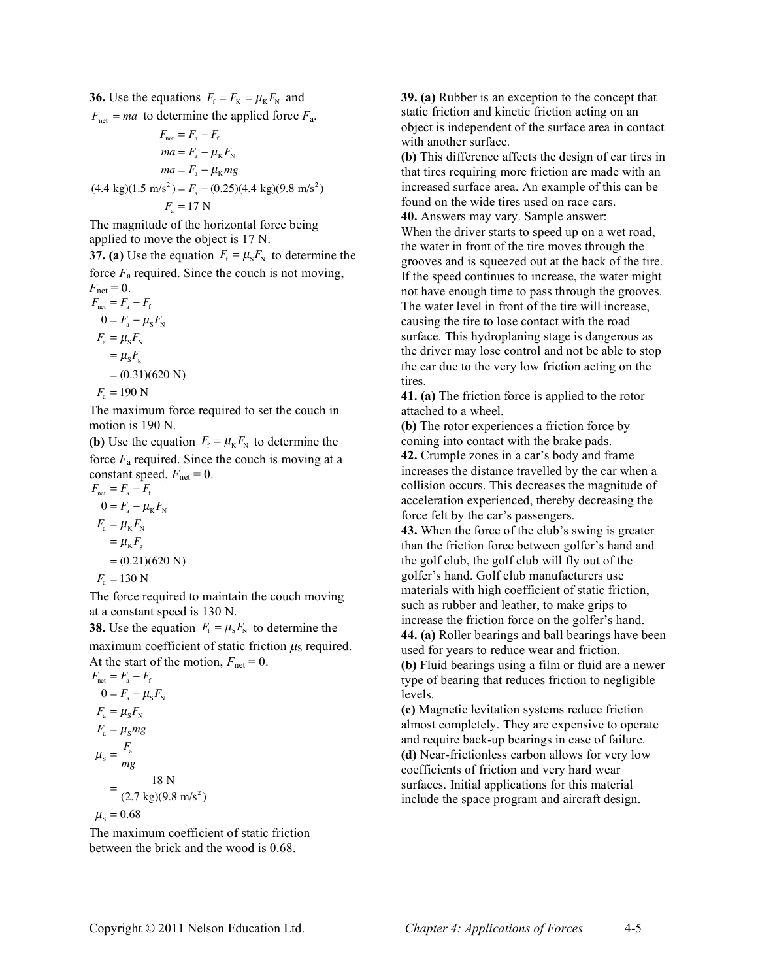**36.** Use the equations  $F_f = F_K = \mu_K F_N$  and  $F_{\text{net}} = ma$  to determine the applied force  $F_{\text{a}}$ .

$$
F_{\text{net}} = F_{\text{a}} - F_{\text{f}}
$$
  
\n
$$
ma = F_{\text{a}} - \mu_{\text{K}} F_{\text{N}}
$$
  
\n
$$
ma = F_{\text{a}} - \mu_{\text{K}} mg
$$
  
\n
$$
(4.4 \text{ kg})(1.5 \text{ m/s}^2) = F_{\text{a}} - (0.25)(4.4 \text{ kg})(9.8 \text{ m/s}^2)
$$
  
\n
$$
F_{\text{a}} = 17 \text{ N}
$$

The magnitude of the horizontal force being applied to move the object is 17 N.

**37. (a)** Use the equation  $F_f = \mu_s F_N$  to determine the force  $F_a$  required. Since the couch is not moving,  $F_{net} = 0$ .

$$
F_{\text{net}} = F_{\text{a}} - F_{\text{f}}
$$
  
\n
$$
F_{\text{net}} = F_{\text{a}} - \mu_{\text{s}} F_{\text{N}}
$$
  
\n
$$
F_{\text{a}} = \mu_{\text{s}} F_{\text{N}}
$$
  
\n
$$
= \mu_{\text{s}} F_{\text{g}}
$$
  
\n
$$
= (0.31)(620 \text{ N})
$$
  
\n
$$
F_{\text{a}} = 190 \text{ N}
$$

The maximum force required to set the couch in motion is 190 N.

**(b)** Use the equation  $F_f = \mu_K F_N$  to determine the force  $F_a$  required. Since the couch is moving at a constant speed,  $F_{\text{net}} = 0$ .

$$
F_{\text{net}} = F_{\text{a}} - F_{\text{f}}
$$
  
\n
$$
0 = F_{\text{a}} - \mu_{\text{K}} F_{\text{N}}
$$
  
\n
$$
F_{\text{a}} = \mu_{\text{K}} F_{\text{N}}
$$
  
\n
$$
= \mu_{\text{K}} F_{\text{g}}
$$
  
\n
$$
= (0.21)(620 \text{ N})
$$
  
\n
$$
F_{\text{a}} = 130 \text{ N}
$$

The force required to maintain the couch moving at a constant speed is 130 N.

**38.** Use the equation  $F_f = \mu_s F_N$  to determine the

maximum coefficient of static friction  $\mu<sub>S</sub>$  required. At the start of the motion,  $F_{\text{net}} = 0$ .

$$
F_{\text{net}} = F_{\text{a}} - F_{\text{f}}
$$
  
\n
$$
0 = F_{\text{a}} - \mu_{\text{s}} F_{\text{N}}
$$
  
\n
$$
F_{\text{a}} = \mu_{\text{s}} m g
$$
  
\n
$$
\mu_{\text{s}} = \frac{F_{\text{a}}}{mg}
$$
  
\n
$$
= \frac{18 \text{ N}}{(2.7 \text{ kg})(9.8 \text{ m/s}^2)}
$$
  
\n
$$
\mu_{\text{s}} = 0.68
$$

The maximum coefficient of static friction between the brick and the wood is 0.68.

**39. (a)** Rubber is an exception to the concept that static friction and kinetic friction acting on an object is independent of the surface area in contact with another surface.

**(b)** This difference affects the design of car tires in that tires requiring more friction are made with an increased surface area. An example of this can be found on the wide tires used on race cars. **40.** Answers may vary. Sample answer:

When the driver starts to speed up on a wet road, the water in front of the tire moves through the grooves and is squeezed out at the back of the tire. If the speed continues to increase, the water might not have enough time to pass through the grooves. The water level in front of the tire will increase, causing the tire to lose contact with the road surface. This hydroplaning stage is dangerous as the driver may lose control and not be able to stop the car due to the very low friction acting on the tires.

**41. (a)** The friction force is applied to the rotor attached to a wheel.

**(b)** The rotor experiences a friction force by coming into contact with the brake pads. **42.** Crumple zones in a car's body and frame increases the distance travelled by the car when a collision occurs. This decreases the magnitude of acceleration experienced, thereby decreasing the force felt by the car's passengers.

**43.** When the force of the club's swing is greater than the friction force between golfer's hand and the golf club, the golf club will fly out of the golfer's hand. Golf club manufacturers use materials with high coefficient of static friction, such as rubber and leather, to make grips to increase the friction force on the golfer's hand. **44. (a)** Roller bearings and ball bearings have been used for years to reduce wear and friction. **(b)** Fluid bearings using a film or fluid are a newer type of bearing that reduces friction to negligible levels.

**(c)** Magnetic levitation systems reduce friction almost completely. They are expensive to operate and require back-up bearings in case of failure. **(d)** Near-frictionless carbon allows for very low coefficients of friction and very hard wear surfaces. Initial applications for this material include the space program and aircraft design.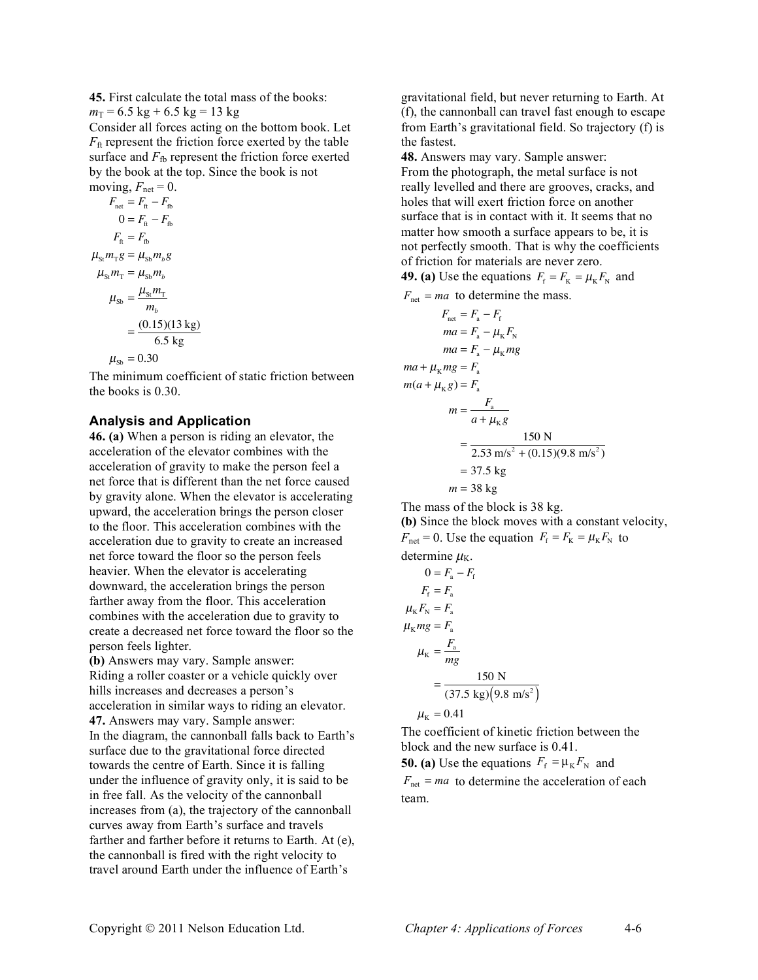**45.** First calculate the total mass of the books:

 $m_T = 6.5 \text{ kg} + 6.5 \text{ kg} = 13 \text{ kg}$ 

Consider all forces acting on the bottom book. Let  $F_{\text{ft}}$  represent the friction force exerted by the table surface and  $F_{\text{fb}}$  represent the friction force exerted by the book at the top. Since the book is not moving,  $F_{\text{net}} = 0$ .

$$
F_{\text{net}} = F_{\text{ft}} - F_{\text{fb}}
$$
  
\n
$$
0 = F_{\text{ft}} - F_{\text{fb}}
$$
  
\n
$$
F_{\text{ft}} = F_{\text{fb}}
$$
  
\n
$$
\mu_{\text{St}} m_{\text{T}} g = \mu_{\text{Sh}} m_{b} g
$$
  
\n
$$
\mu_{\text{St}} m_{\text{T}} = \mu_{\text{Sh}} m_{b}
$$
  
\n
$$
\mu_{\text{Sh}} = \frac{\mu_{\text{St}} m_{\text{T}}}{m_{b}}
$$
  
\n
$$
= \frac{(0.15)(13 \text{ kg})}{6.5 \text{ kg}}
$$
  
\n
$$
\mu_{\text{Sh}} = 0.30
$$

The minimum coefficient of static friction between the books is 0.30.

#### **Analysis and Application**

**46. (a)** When a person is riding an elevator, the acceleration of the elevator combines with the acceleration of gravity to make the person feel a net force that is different than the net force caused by gravity alone. When the elevator is accelerating upward, the acceleration brings the person closer to the floor. This acceleration combines with the acceleration due to gravity to create an increased net force toward the floor so the person feels heavier. When the elevator is accelerating downward, the acceleration brings the person farther away from the floor. This acceleration combines with the acceleration due to gravity to create a decreased net force toward the floor so the person feels lighter.

**(b)** Answers may vary. Sample answer: Riding a roller coaster or a vehicle quickly over hills increases and decreases a person's acceleration in similar ways to riding an elevator. **47.** Answers may vary. Sample answer: In the diagram, the cannonball falls back to Earth's surface due to the gravitational force directed towards the centre of Earth. Since it is falling under the influence of gravity only, it is said to be in free fall. As the velocity of the cannonball increases from (a), the trajectory of the cannonball curves away from Earth's surface and travels farther and farther before it returns to Earth. At (e), the cannonball is fired with the right velocity to travel around Earth under the influence of Earth's

gravitational field, but never returning to Earth. At (f), the cannonball can travel fast enough to escape from Earth's gravitational field. So trajectory (f) is the fastest.

**48.** Answers may vary. Sample answer: From the photograph, the metal surface is not really levelled and there are grooves, cracks, and holes that will exert friction force on another surface that is in contact with it. It seems that no matter how smooth a surface appears to be, it is not perfectly smooth. That is why the coefficients of friction for materials are never zero.

**49. (a)** Use the equations  $F_f = F_K = \mu_K F_N$  and

 $F_{\text{net}} = ma$  to determine the mass.

$$
F_{\text{net}} = F_{\text{a}} - F_{\text{f}}
$$
  
\n
$$
ma = F_{\text{a}} - \mu_{\text{K}} F_{\text{N}}
$$
  
\n
$$
ma = F_{\text{a}} - \mu_{\text{K}} mg
$$
  
\n
$$
ma + \mu_{\text{K}} mg = F_{\text{a}}
$$
  
\n
$$
ma = \frac{F_{\text{a}}}{a + \mu_{\text{K}} g}
$$
  
\n
$$
= \frac{150 \text{ N}}{2.53 \text{ m/s}^2 + (0.15)(9.8 \text{ m/s}^2)}
$$
  
\n
$$
= 37.5 \text{ kg}
$$
  
\n
$$
m = 38 \text{ kg}
$$

The mass of the block is 38 kg. **(b)** Since the block moves with a constant velocity,  $F_{\text{net}} = 0$ . Use the equation  $F_{\text{f}} = F_{\text{K}} = \mu_{\text{K}} F_{\text{N}}$  to determine  $\mu_K$ .  $0 = F_{\rm a} - F_{\rm f}$ 

$$
F_{\rm f} = F_{\rm a}
$$
  
\n
$$
\mu_{\rm K} F_{\rm N} = F_{\rm a}
$$
  
\n
$$
\mu_{\rm K} mg = F_{\rm a}
$$
  
\n
$$
\mu_{\rm K} = \frac{F_{\rm a}}{mg}
$$
  
\n
$$
= \frac{150 \text{ N}}{(37.5 \text{ kg})(9.8 \text{ m/s}^2)}
$$

 $\mu_{\rm K} = 0.41$ 

The coefficient of kinetic friction between the block and the new surface is 0.41.

**50. (a)** Use the equations  $F_f = \mu_K F_N$  and

 $F_{\text{net}} = ma$  to determine the acceleration of each team.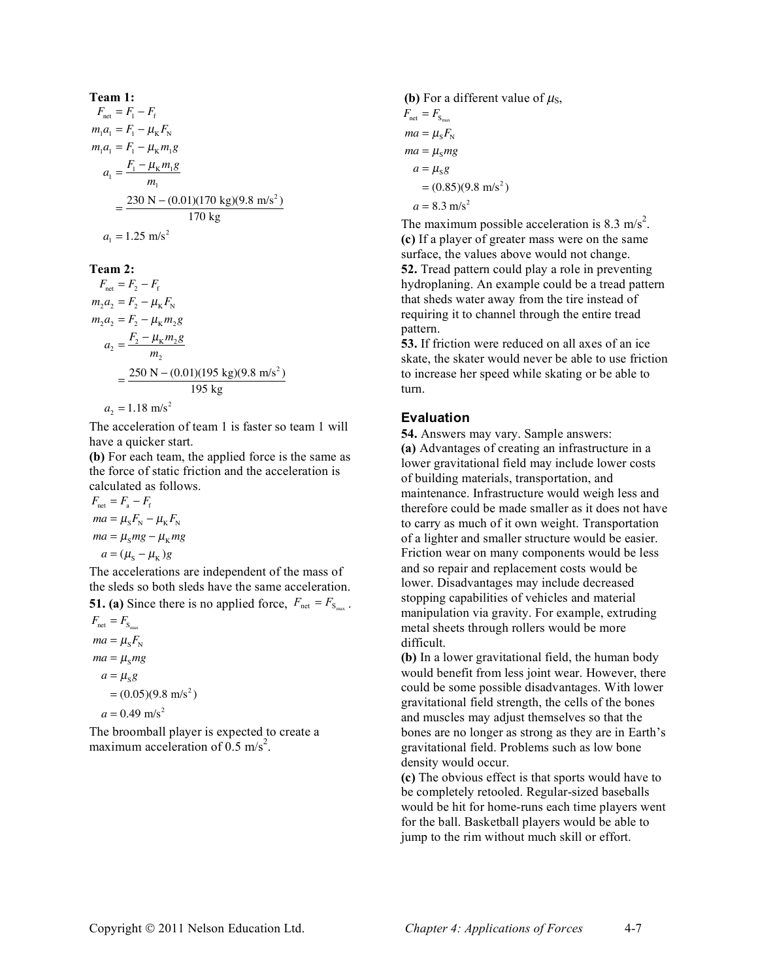**Team 1:**  
\n
$$
F_{\text{net}} = F_1 - F_f
$$
\n
$$
m_1 a_1 = F_1 - \mu_K F_N
$$
\n
$$
m_1 a_1 = F_1 - \mu_K m_1 g
$$
\n
$$
a_1 = \frac{F_1 - \mu_K m_1 g}{m_1}
$$
\n
$$
= \frac{230 \text{ N} - (0.01)(170 \text{ kg})(9.8 \text{ m/s}^2)}{170 \text{ kg}}
$$
\n
$$
a_1 = 1.25 \text{ m/s}^2
$$

**Team 2:**

$$
F_{\text{net}} = F_2 - F_{\text{f}}
$$
  
\n
$$
m_2 a_2 = F_2 - \mu_{\text{K}} F_{\text{N}}
$$
  
\n
$$
m_2 a_2 = F_2 - \mu_{\text{K}} m_2 g
$$
  
\n
$$
a_2 = \frac{F_2 - \mu_{\text{K}} m_2 g}{m_2}
$$
  
\n
$$
= \frac{250 \text{ N} - (0.01)(195 \text{ kg})(9.8 \text{ m/s}^2)}{195 \text{ kg}}
$$

 $a_2 = 1.18$  m/s<sup>2</sup>

The acceleration of team 1 is faster so team 1 will have a quicker start.

**(b)** For each team, the applied force is the same as the force of static friction and the acceleration is calculated as follows.

 $F_{\text{net}} = F_{\text{a}} - F_{\text{f}}$  $ma = \mu_s F_{\rm N} - \mu_{\rm K} F_{\rm N}$  $ma = \mu_s mg - \mu_k mg$  $a = (\mu<sub>s</sub> - \mu<sub>K</sub>)g$ 

The accelerations are independent of the mass of the sleds so both sleds have the same acceleration.

**51. (a)** Since there is no applied force,  $F_{\text{net}} = F_{S_{\text{max}}}$ .  $F_{\text{net}} = F_{S_{\text{max}}}$ 

 $ma = \mu_s F_N$  $ma = \mu_s mg$  $a = \mu_s g$  $=(0.05)(9.8 \text{ m/s}^2)$ 

$$
a = 0.49 \text{ m/s}^2
$$

The broomball player is expected to create a maximum acceleration of  $0.5 \text{ m/s}^2$ .

**(b)** For a different value of 
$$
\mu_s
$$
,  
\n $F_{net} = F_{s_{max}}$   
\n $ma = \mu_s F_s$   
\n $ma = \mu_s mg$   
\n $a = \mu_s g$   
\n $= (0.85)(9.8 \text{ m/s}^2)$   
\n $a = 8.3 \text{ m/s}^2$ 

The maximum possible acceleration is 8.3 m/s<sup>2</sup>. **(c)** If a player of greater mass were on the same surface, the values above would not change. **52.** Tread pattern could play a role in preventing hydroplaning. An example could be a tread pattern that sheds water away from the tire instead of requiring it to channel through the entire tread pattern.

**53.** If friction were reduced on all axes of an ice skate, the skater would never be able to use friction to increase her speed while skating or be able to turn.

#### **Evaluation**

**54.** Answers may vary. Sample answers: **(a)** Advantages of creating an infrastructure in a lower gravitational field may include lower costs of building materials, transportation, and maintenance. Infrastructure would weigh less and therefore could be made smaller as it does not have to carry as much of it own weight. Transportation of a lighter and smaller structure would be easier. Friction wear on many components would be less and so repair and replacement costs would be lower. Disadvantages may include decreased stopping capabilities of vehicles and material manipulation via gravity. For example, extruding metal sheets through rollers would be more difficult.

**(b)** In a lower gravitational field, the human body would benefit from less joint wear. However, there could be some possible disadvantages. With lower gravitational field strength, the cells of the bones and muscles may adjust themselves so that the bones are no longer as strong as they are in Earth's gravitational field. Problems such as low bone density would occur.

**(c)** The obvious effect is that sports would have to be completely retooled. Regular-sized baseballs would be hit for home-runs each time players went for the ball. Basketball players would be able to jump to the rim without much skill or effort.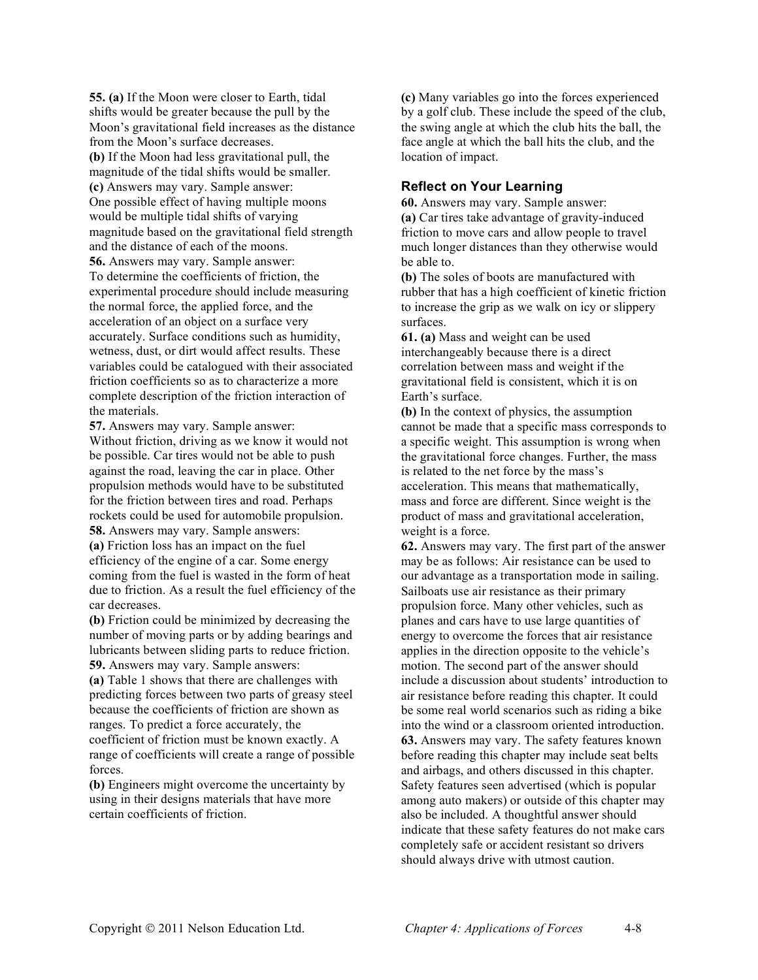**55. (a)** If the Moon were closer to Earth, tidal shifts would be greater because the pull by the Moon's gravitational field increases as the distance from the Moon's surface decreases. **(b)** If the Moon had less gravitational pull, the magnitude of the tidal shifts would be smaller. **(c)** Answers may vary. Sample answer: One possible effect of having multiple moons would be multiple tidal shifts of varying magnitude based on the gravitational field strength and the distance of each of the moons. **56.** Answers may vary. Sample answer: To determine the coefficients of friction, the experimental procedure should include measuring the normal force, the applied force, and the acceleration of an object on a surface very accurately. Surface conditions such as humidity, wetness, dust, or dirt would affect results. These variables could be catalogued with their associated friction coefficients so as to characterize a more complete description of the friction interaction of the materials.

**57.** Answers may vary. Sample answer: Without friction, driving as we know it would not be possible. Car tires would not be able to push against the road, leaving the car in place. Other propulsion methods would have to be substituted for the friction between tires and road. Perhaps rockets could be used for automobile propulsion. **58.** Answers may vary. Sample answers: **(a)** Friction loss has an impact on the fuel efficiency of the engine of a car. Some energy coming from the fuel is wasted in the form of heat due to friction. As a result the fuel efficiency of the car decreases.

**(b)** Friction could be minimized by decreasing the number of moving parts or by adding bearings and lubricants between sliding parts to reduce friction. **59.** Answers may vary. Sample answers:

**(a)** Table 1 shows that there are challenges with predicting forces between two parts of greasy steel because the coefficients of friction are shown as ranges. To predict a force accurately, the coefficient of friction must be known exactly. A range of coefficients will create a range of possible forces.

**(b)** Engineers might overcome the uncertainty by using in their designs materials that have more certain coefficients of friction.

**(c)** Many variables go into the forces experienced by a golf club. These include the speed of the club, the swing angle at which the club hits the ball, the face angle at which the ball hits the club, and the location of impact.

#### **Reflect on Your Learning**

**60.** Answers may vary. Sample answer: **(a)** Car tires take advantage of gravity-induced friction to move cars and allow people to travel much longer distances than they otherwise would be able to.

**(b)** The soles of boots are manufactured with rubber that has a high coefficient of kinetic friction to increase the grip as we walk on icy or slippery surfaces.

**61. (a)** Mass and weight can be used interchangeably because there is a direct correlation between mass and weight if the gravitational field is consistent, which it is on Earth's surface.

**(b)** In the context of physics, the assumption cannot be made that a specific mass corresponds to a specific weight. This assumption is wrong when the gravitational force changes. Further, the mass is related to the net force by the mass's acceleration. This means that mathematically, mass and force are different. Since weight is the product of mass and gravitational acceleration, weight is a force.

**62.** Answers may vary. The first part of the answer may be as follows: Air resistance can be used to our advantage as a transportation mode in sailing. Sailboats use air resistance as their primary propulsion force. Many other vehicles, such as planes and cars have to use large quantities of energy to overcome the forces that air resistance applies in the direction opposite to the vehicle's motion. The second part of the answer should include a discussion about students' introduction to air resistance before reading this chapter. It could be some real world scenarios such as riding a bike into the wind or a classroom oriented introduction. **63.** Answers may vary. The safety features known before reading this chapter may include seat belts and airbags, and others discussed in this chapter. Safety features seen advertised (which is popular among auto makers) or outside of this chapter may also be included. A thoughtful answer should indicate that these safety features do not make cars completely safe or accident resistant so drivers should always drive with utmost caution.